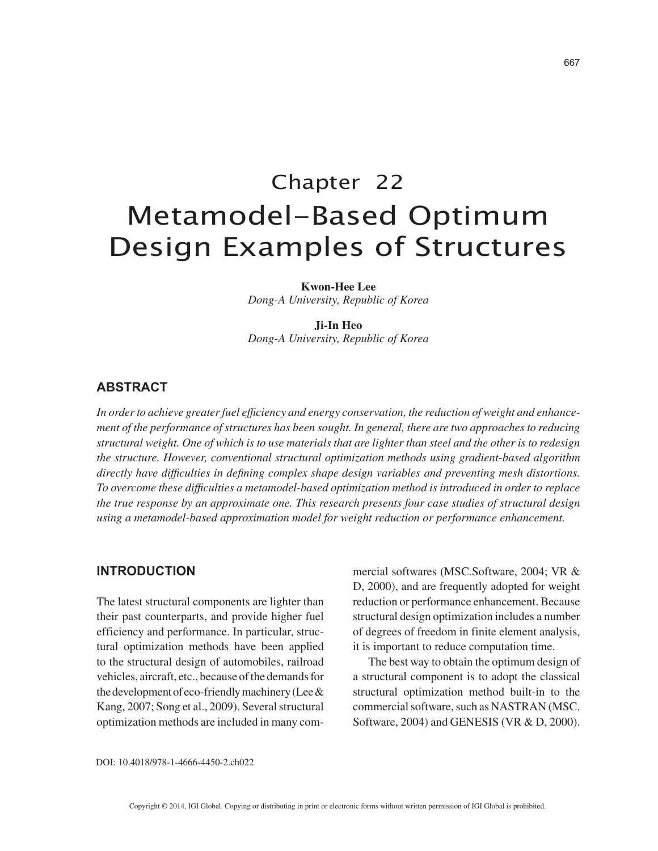# Chapter 22 Metamodel-Based Optimum Design Examples of Structures

**Kwon-Hee Lee** *Dong-A University, Republic of Korea*

**Ji-In Heo** *Dong-A University, Republic of Korea*

## **ABSTRACT**

*In order to achieve greater fuel efficiency and energy conservation, the reduction of weight and enhancement of the performance of structures has been sought. In general, there are two approaches to reducing structural weight. One of which is to use materials that are lighter than steel and the other is to redesign the structure. However, conventional structural optimization methods using gradient-based algorithm directly have difficulties in defining complex shape design variables and preventing mesh distortions. To overcome these difficulties a metamodel-based optimization method is introduced in order to replace the true response by an approximate one. This research presents four case studies of structural design using a metamodel-based approximation model for weight reduction or performance enhancement.*

## **INTRODUCTION**

The latest structural components are lighter than their past counterparts, and provide higher fuel efficiency and performance. In particular, structural optimization methods have been applied to the structural design of automobiles, railroad vehicles, aircraft, etc., because of the demands for the development of eco-friendly machinery (Lee & Kang, 2007; Song et al., 2009). Several structural optimization methods are included in many commercial softwares (MSC.Software, 2004; VR & D, 2000), and are frequently adopted for weight reduction or performance enhancement. Because structural design optimization includes a number of degrees of freedom in finite element analysis, it is important to reduce computation time.

The best way to obtain the optimum design of a structural component is to adopt the classical structural optimization method built-in to the commercial software, such as NASTRAN (MSC. Software, 2004) and GENESIS (VR & D, 2000).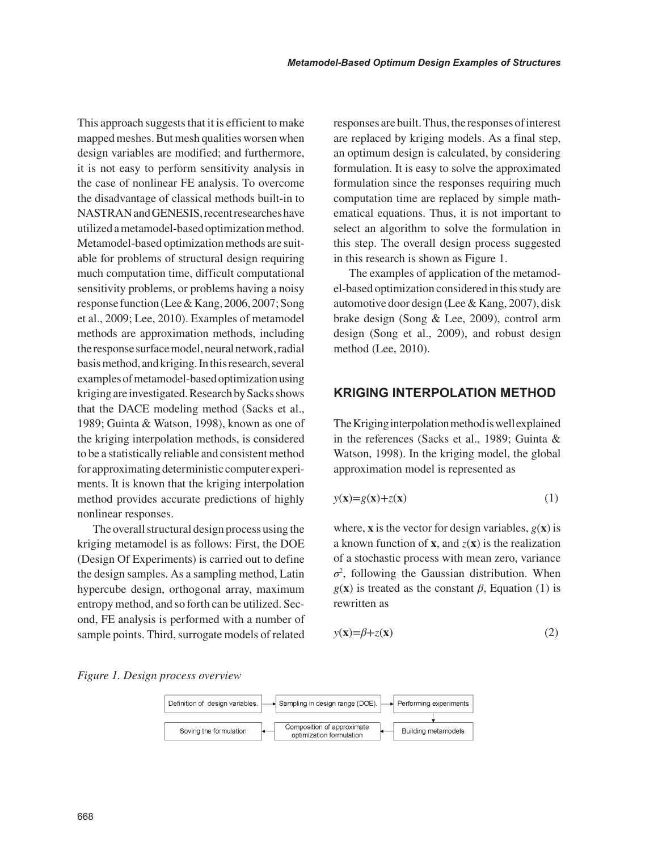This approach suggests that it is efficient to make mapped meshes. But mesh qualities worsen when design variables are modified; and furthermore, it is not easy to perform sensitivity analysis in the case of nonlinear FE analysis. To overcome the disadvantage of classical methods built-in to NASTRAN and GENESIS, recent researches have utilized a metamodel-based optimization method. Metamodel-based optimization methods are suitable for problems of structural design requiring much computation time, difficult computational sensitivity problems, or problems having a noisy response function (Lee & Kang, 2006, 2007; Song et al., 2009; Lee, 2010). Examples of metamodel methods are approximation methods, including the response surface model, neural network, radial basis method, and kriging. In this research, several examples of metamodel-based optimization using kriging are investigated. Research by Sacks shows that the DACE modeling method (Sacks et al., 1989; Guinta & Watson, 1998), known as one of the kriging interpolation methods, is considered to be a statistically reliable and consistent method for approximating deterministic computer experiments. It is known that the kriging interpolation method provides accurate predictions of highly nonlinear responses.

The overall structural design process using the kriging metamodel is as follows: First, the DOE (Design Of Experiments) is carried out to define the design samples. As a sampling method, Latin hypercube design, orthogonal array, maximum entropy method, and so forth can be utilized. Second, FE analysis is performed with a number of sample points. Third, surrogate models of related responses are built. Thus, the responses of interest are replaced by kriging models. As a final step, an optimum design is calculated, by considering formulation. It is easy to solve the approximated formulation since the responses requiring much computation time are replaced by simple mathematical equations. Thus, it is not important to select an algorithm to solve the formulation in this step. The overall design process suggested in this research is shown as Figure 1.

The examples of application of the metamodel-based optimization considered in this study are automotive door design (Lee & Kang, 2007), disk brake design (Song & Lee, 2009), control arm design (Song et al., 2009), and robust design method (Lee, 2010).

## **KRIGING INTERPOLATION METHOD**

The Kriging interpolation method is well explained in the references (Sacks et al., 1989; Guinta & Watson, 1998). In the kriging model, the global approximation model is represented as

$$
y(\mathbf{x}) = g(\mathbf{x}) + z(\mathbf{x}) \tag{1}
$$

where, **x** is the vector for design variables,  $g(\mathbf{x})$  is a known function of **x**, and  $z(\mathbf{x})$  is the realization of a stochastic process with mean zero, variance *σ*2 , following the Gaussian distribution. When  $g(x)$  is treated as the constant  $\beta$ , Equation (1) is rewritten as

$$
y(\mathbf{x}) = \beta + z(\mathbf{x})\tag{2}
$$

*Figure 1. Design process overview*